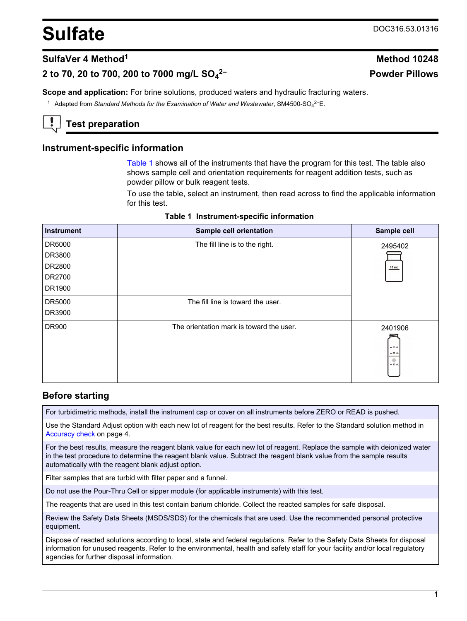# <span id="page-0-0"></span>**Sulfate** DOC316.53.01316

**2– Powder Pillows**

# **SulfaVer 4 Method<sup>1</sup> Method 10248**

# **2 to 70, 20 to 700, 200 to 7000 mg/L SO<sup>4</sup>**

**Scope and application:** For brine solutions, produced waters and hydraulic fracturing waters.

<sup>1</sup> Adapted from Standard Methods for the Examination of Water and Wastewater, SM4500-SO<sub>4</sub><sup>2–</sup>E.

# **Test preparation**

## **Instrument-specific information**

Table 1 shows all of the instruments that have the program for this test. The table also shows sample cell and orientation requirements for reagent addition tests, such as powder pillow or bulk reagent tests.

To use the table, select an instrument, then read across to find the applicable information for this test.

| <b>Instrument</b> | Sample cell orientation                  | Sample cell                              |
|-------------------|------------------------------------------|------------------------------------------|
| DR6000            | The fill line is to the right.           | 2495402                                  |
| DR3800            |                                          |                                          |
| DR2800            |                                          | 10 mL                                    |
| DR2700            |                                          |                                          |
| DR1900            |                                          |                                          |
| DR5000            | The fill line is toward the user.        |                                          |
| DR3900            |                                          |                                          |
| DR900             | The orientation mark is toward the user. | 2401906                                  |
|                   |                                          | $= 25$ mL<br>$= 20$ mL<br>۰<br>$= 10$ mL |
|                   |                                          |                                          |

|  | Table 1 Instrument-specific information |  |  |
|--|-----------------------------------------|--|--|
|--|-----------------------------------------|--|--|

## **Before starting**

For turbidimetric methods, install the instrument cap or cover on all instruments before ZERO or READ is pushed.

Use the Standard Adjust option with each new lot of reagent for the best results. Refer to the Standard solution method in [Accuracy check](#page-3-0) on page 4.

For the best results, measure the reagent blank value for each new lot of reagent. Replace the sample with deionized water in the test procedure to determine the reagent blank value. Subtract the reagent blank value from the sample results automatically with the reagent blank adjust option.

Filter samples that are turbid with filter paper and a funnel.

Do not use the Pour-Thru Cell or sipper module (for applicable instruments) with this test.

The reagents that are used in this test contain barium chloride. Collect the reacted samples for safe disposal.

Review the Safety Data Sheets (MSDS/SDS) for the chemicals that are used. Use the recommended personal protective equipment.

Dispose of reacted solutions according to local, state and federal regulations. Refer to the Safety Data Sheets for disposal information for unused reagents. Refer to the environmental, health and safety staff for your facility and/or local regulatory agencies for further disposal information.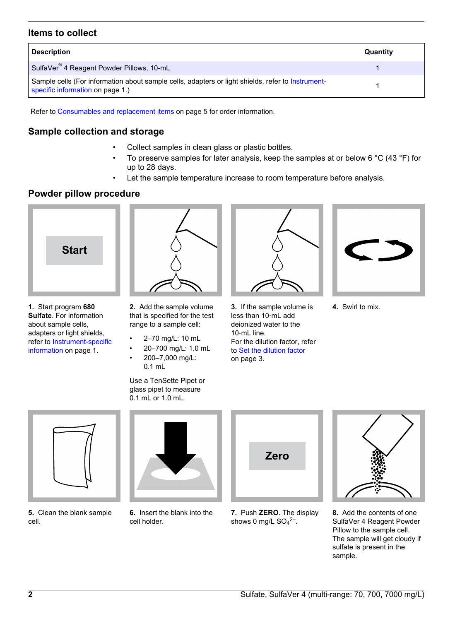# **Items to collect**

| <b>Description</b>                                                                                                                    | Quantity |
|---------------------------------------------------------------------------------------------------------------------------------------|----------|
| SulfaVer <sup>®</sup> 4 Reagent Powder Pillows, 10-mL                                                                                 |          |
| Sample cells (For information about sample cells, adapters or light shields, refer to Instrument-<br>specific information on page 1.) |          |

Refer to [Consumables and replacement items](#page-4-0) on page 5 for order information.

# **Sample collection and storage**

- Collect samples in clean glass or plastic bottles.
- To preserve samples for later analysis, keep the samples at or below 6  $^{\circ}$ C (43  $^{\circ}$ F) for up to 28 days.
- Let the sample temperature increase to room temperature before analysis.

# **Powder pillow procedure**



**1.** Start program **680 Sulfate**. For information about sample cells, adapters or light shields, refer to [Instrument-specific](#page-0-0) [information](#page-0-0) on page 1.



**2.** Add the sample volume that is specified for the test range to a sample cell:

- 2–70 mg/L: 10 mL
- 20–700 mg/L: 1.0 mL
	- 200–7,000 mg/L: 0.1 mL

Use a TenSette Pipet or glass pipet to measure 0.1 mL or 1.0 mL.



**3.** If the sample volume is less than 10‑mL add deionized water to the 10‑mL line. For the dilution factor, refer to [Set the dilution factor](#page-2-0) on page 3.



**4.** Swirl to mix.



**5.** Clean the blank sample cell.



**6.** Insert the blank into the cell holder.



**7.** Push **ZERO**. The display shows 0 mg/L  $SO_4^2$ <sup>-</sup>.



**8.** Add the contents of one SulfaVer 4 Reagent Powder Pillow to the sample cell. The sample will get cloudy if sulfate is present in the sample.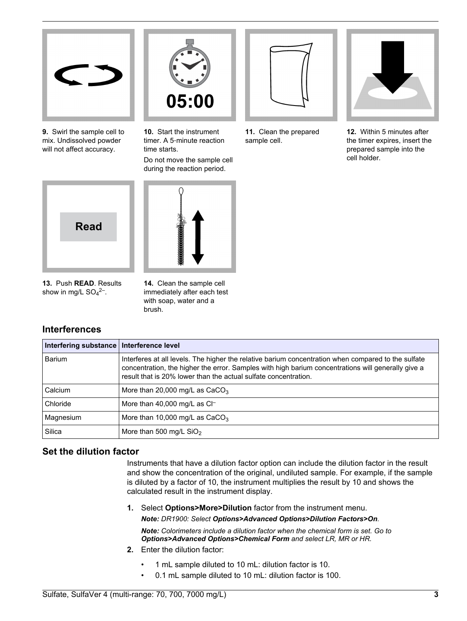<span id="page-2-0"></span>

**9.** Swirl the sample cell to mix. Undissolved powder will not affect accuracy.



**10.** Start the instrument timer. A 5‑minute reaction time starts.

Do not move the sample cell during the reaction period.



**11.** Clean the prepared sample cell.



**12.** Within 5 minutes after the timer expires, insert the prepared sample into the cell holder.



**13.** Push **READ**. Results show in mg/L  $SO_4^2$ <sup>-</sup>.

**14.** Clean the sample cell immediately after each test with soap, water and a brush.

# **Interferences**

| Interfering substance   Interference level |                                                                                                                                                                                                                                                                              |
|--------------------------------------------|------------------------------------------------------------------------------------------------------------------------------------------------------------------------------------------------------------------------------------------------------------------------------|
| Barium                                     | Interferes at all levels. The higher the relative barium concentration when compared to the sulfate<br>concentration, the higher the error. Samples with high barium concentrations will generally give a<br>result that is 20% lower than the actual sulfate concentration. |
| Calcium                                    | More than 20,000 mg/L as $CaCO3$                                                                                                                                                                                                                                             |
| Chloride                                   | More than 40,000 mg/L as $Cl^-$                                                                                                                                                                                                                                              |
| Magnesium                                  | More than 10,000 mg/L as $CaCO3$                                                                                                                                                                                                                                             |
| Silica                                     | More than 500 mg/L $SiO2$                                                                                                                                                                                                                                                    |

# **Set the dilution factor**

Instruments that have a dilution factor option can include the dilution factor in the result and show the concentration of the original, undiluted sample. For example, if the sample is diluted by a factor of 10, the instrument multiplies the result by 10 and shows the calculated result in the instrument display.

**1.** Select **Options>More>Dilution** factor from the instrument menu. *Note: DR1900: Select Options>Advanced Options>Dilution Factors>On.*

*Note: Colorimeters include a dilution factor when the chemical form is set. Go to Options>Advanced Options>Chemical Form and select LR, MR or HR.*

- **2.** Enter the dilution factor:
	- 1 mL sample diluted to 10 mL: dilution factor is 10.
	- 0.1 mL sample diluted to 10 mL: dilution factor is 100.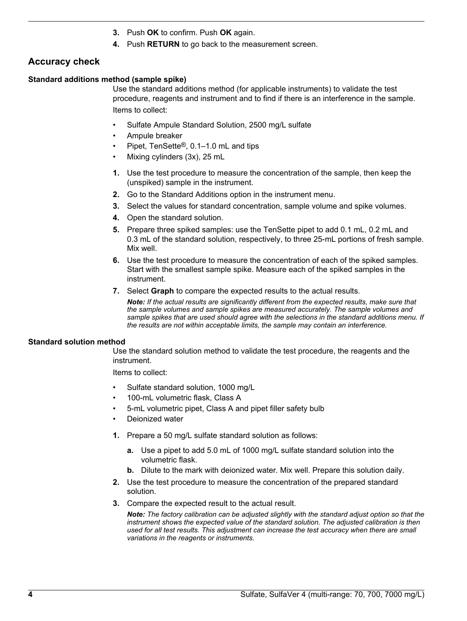- **3.** Push **OK** to confirm. Push **OK** again.
- **4.** Push **RETURN** to go back to the measurement screen.

# <span id="page-3-0"></span>**Accuracy check**

#### **Standard additions method (sample spike)**

Use the standard additions method (for applicable instruments) to validate the test procedure, reagents and instrument and to find if there is an interference in the sample. Items to collect:

- Sulfate Ampule Standard Solution, 2500 mg/L sulfate
- Ampule breaker
- Pipet, TenSette®, 0.1–1.0 mL and tips
- Mixing cylinders (3x), 25 mL
- **1.** Use the test procedure to measure the concentration of the sample, then keep the (unspiked) sample in the instrument.
- **2.** Go to the Standard Additions option in the instrument menu.
- **3.** Select the values for standard concentration, sample volume and spike volumes.
- **4.** Open the standard solution.
- **5.** Prepare three spiked samples: use the TenSette pipet to add 0.1 mL, 0.2 mL and 0.3 mL of the standard solution, respectively, to three 25-mL portions of fresh sample. Mix well.
- **6.** Use the test procedure to measure the concentration of each of the spiked samples. Start with the smallest sample spike. Measure each of the spiked samples in the instrument.
- **7.** Select **Graph** to compare the expected results to the actual results.

*Note: If the actual results are significantly different from the expected results, make sure that the sample volumes and sample spikes are measured accurately. The sample volumes and sample spikes that are used should agree with the selections in the standard additions menu. If the results are not within acceptable limits, the sample may contain an interference.*

#### **Standard solution method**

Use the standard solution method to validate the test procedure, the reagents and the instrument.

Items to collect:

- Sulfate standard solution, 1000 mg/L
- 100-mL volumetric flask, Class A
- 5-mL volumetric pipet, Class A and pipet filler safety bulb
- Deionized water
- **1.** Prepare a 50 mg/L sulfate standard solution as follows:
	- **a.** Use a pipet to add 5.0 mL of 1000 mg/L sulfate standard solution into the volumetric flask.
	- **b.** Dilute to the mark with deionized water. Mix well. Prepare this solution daily.
- **2.** Use the test procedure to measure the concentration of the prepared standard solution.
- **3.** Compare the expected result to the actual result.

*Note: The factory calibration can be adjusted slightly with the standard adjust option so that the instrument shows the expected value of the standard solution. The adjusted calibration is then used for all test results. This adjustment can increase the test accuracy when there are small variations in the reagents or instruments.*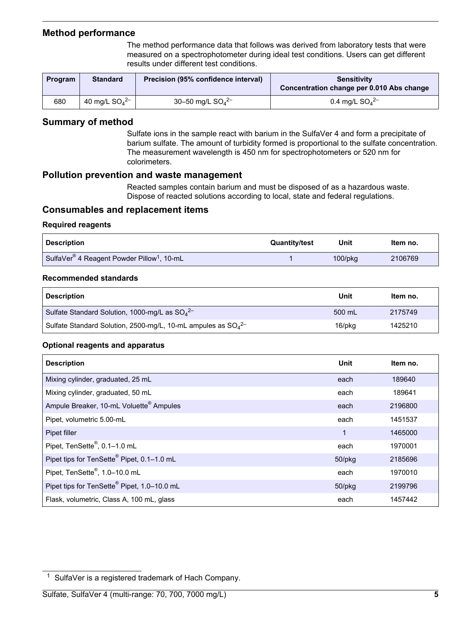## <span id="page-4-0"></span>**Method performance**

The method performance data that follows was derived from laboratory tests that were measured on a spectrophotometer during ideal test conditions. Users can get different results under different test conditions.

| Program | <b>Standard</b>     | Precision (95% confidence interval) | <b>Sensitivity</b><br>Concentration change per 0.010 Abs change |  |
|---------|---------------------|-------------------------------------|-----------------------------------------------------------------|--|
| 680     | 40 mg/L $SO_4^{2-}$ | 30-50 mg/L $SO_4^{2-}$              | 0.4 mg/L $SO_4^{2-}$                                            |  |

## **Summary of method**

Sulfate ions in the sample react with barium in the SulfaVer 4 and form a precipitate of barium sulfate. The amount of turbidity formed is proportional to the sulfate concentration. The measurement wavelength is 450 nm for spectrophotometers or 520 nm for colorimeters.

#### **Pollution prevention and waste management**

Reacted samples contain barium and must be disposed of as a hazardous waste. Dispose of reacted solutions according to local, state and federal regulations.

## **Consumables and replacement items**

#### **Required reagents**

| <b>Description</b>                                                 | <b>Quantity/test</b> | Unit          | Item no. |
|--------------------------------------------------------------------|----------------------|---------------|----------|
| SulfaVer <sup>®</sup> 4 Reagent Powder Pillow <sup>1</sup> , 10-mL |                      | $100$ /p $kg$ | 2106769  |

#### **Recommended standards**

| <b>Description</b>                                                 | Unit   | Item no. |
|--------------------------------------------------------------------|--------|----------|
| Sulfate Standard Solution, 1000-mg/L as $SO_4^2$                   | 500 mL | 2175749  |
| Sulfate Standard Solution, 2500-mg/L, 10-mL ampules as $SO_4^{2-}$ | 16/pkg | 1425210  |

#### **Optional reagents and apparatus**

| <b>Description</b>                                      | Unit         | Item no. |
|---------------------------------------------------------|--------------|----------|
| Mixing cylinder, graduated, 25 mL                       | each         | 189640   |
| Mixing cylinder, graduated, 50 mL                       | each         | 189641   |
| Ampule Breaker, 10-mL Voluette <sup>®</sup> Ampules     | each         | 2196800  |
| Pipet, volumetric 5.00-mL                               | each         | 1451537  |
| Pipet filler                                            | 1            | 1465000  |
| Pipet, TenSette®, 0.1-1.0 mL                            | each         | 1970001  |
| Pipet tips for TenSette® Pipet, 0.1-1.0 mL              | $50$ /p $kg$ | 2185696  |
| Pipet, TenSette <sup>®</sup> , 1.0-10.0 mL              | each         | 1970010  |
| Pipet tips for TenSette <sup>®</sup> Pipet, 1.0-10.0 mL | 50/pkg       | 2199796  |
| Flask, volumetric, Class A, 100 mL, glass               | each         | 1457442  |

<sup>1</sup> SulfaVer is a registered trademark of Hach Company.

Sulfate, SulfaVer 4 (multi-range: 70, 700, 7000 mg/L) **5**